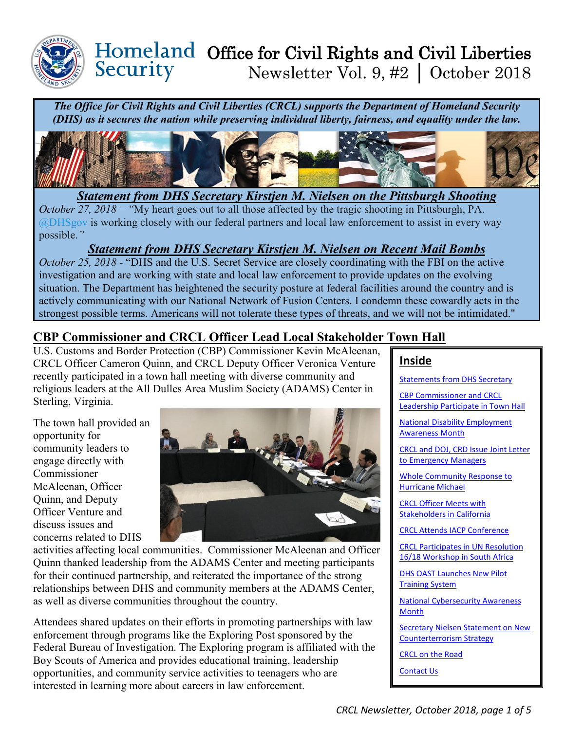

# Homeland Office for Civil Rights and Civil Liberties<br>Security Mewsletter Vol. 9. #2 | October 2018 Newsletter Vol. 9, #2 │ October 2018

*The Office for Civil Rights and Civil Liberties (CRCL) supports the Department of Homeland Security (DHS) as it secures the nation while preserving individual liberty, fairness, and equality under the law.*



<span id="page-0-0"></span>*Statement from DHS Secretary Kirstjen M. Nielsen on the Pittsburgh Shooting October 27, 2018 – "*My heart goes out to all those affected by the tragic shooting in Pittsburgh, PA. [@DHSgov](https://twitter.com/DHSgov) is working closely with our federal partners and local law enforcement to assist in every way possible.*"* 

### *Statement from DHS Secretary Kirstjen M. Nielsen on Recent Mail Bombs*

*October 25, 2018 -* "DHS and the U.S. Secret Service are closely coordinating with the FBI on the active investigation and are working with state and local law enforcement to provide updates on the evolving situation. The Department has heightened the security posture at federal facilities around the country and is actively communicating with our National Network of Fusion Centers. I condemn these cowardly acts in the strongest possible terms. Americans will not tolerate these types of threats, and we will not be intimidated."

# <span id="page-0-1"></span>**CBP Commissioner and CRCL Officer Lead Local Stakeholder Town Hall**

U.S. Customs and Border Protection (CBP) Commissioner Kevin McAleenan, CRCL Officer Cameron Quinn, and CRCL Deputy Officer Veronica Venture recently participated in a town hall meeting with diverse community and religious leaders at the All Dulles Area Muslim Society (ADAMS) Center in Sterling, Virginia.

The town hall provided an opportunity for community leaders to engage directly with Commissioner McAleenan, Officer Quinn, and Deputy Officer Venture and discuss issues and concerns related to DHS



activities affecting local communities. Commissioner McAleenan and Officer Quinn thanked leadership from the ADAMS Center and meeting participants for their continued partnership, and reiterated the importance of the strong relationships between DHS and community members at the ADAMS Center, as well as diverse communities throughout the country.

Attendees shared updates on their efforts in promoting partnerships with law enforcement through programs like the Exploring Post sponsored by the Federal Bureau of Investigation. The Exploring program is affiliated with the Boy Scouts of America and provides educational training, leadership opportunities, and community service activities to teenagers who are interested in learning more about careers in law enforcement.

## **Inside**

[Statements from DHS Secretary](#page-0-0)

[CBP Commissioner and CRCL](#page-0-1)  [Leadership Participate in](#page-0-1) Town Hall

[National Disability Employment](#page-1-0)  [Awareness Month](#page-1-0) 

[CRCL and DOJ, CRD Issue Joint Letter](#page-1-1)  [to Emergency Managers](#page-1-1)

[Whole Community Response to](#page-1-2)  [Hurricane Michael](#page-1-2) 

[CRCL Officer Meets with](#page-2-0)  [Stakeholders in California](#page-2-0)

[CRCL Attends IACP](#page-2-1) Conference

[CRCL Participates in UN Resolution](#page-2-2)  [16/18 Workshop in South Africa](#page-2-2)

DHS [OAST Launches New Pilot](#page-3-0)  [Training System](#page-3-0)

[National Cybersecurity Awareness](#page-3-1)  [Month](#page-3-1) 

[Secretary Nielsen Statement on New](#page-4-0)  [Counterterrorism Strategy](#page-4-0) 

[CRCL on the Road](#page-4-1)

[Contact Us](#page-4-2)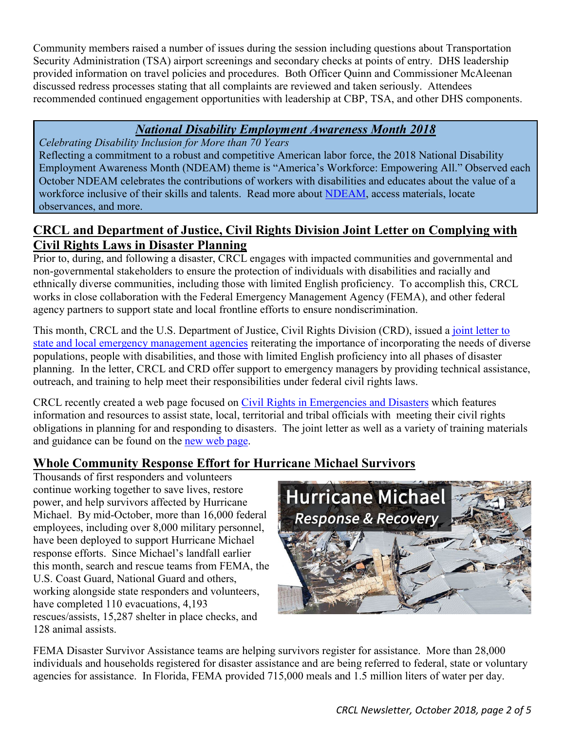Community members raised a number of issues during the session including questions about Transportation Security Administration (TSA) airport screenings and secondary checks at points of entry. DHS leadership provided information on travel policies and procedures. Both Officer Quinn and Commissioner McAleenan discussed redress processes stating that all complaints are reviewed and taken seriously. Attendees recommended continued engagement opportunities with leadership at CBP, TSA, and other DHS components.

### *National Disability Employment Awareness Month 2018*

<span id="page-1-0"></span>*Celebrating Disability Inclusion for More than 70 Years*  Reflecting a commitment to a robust and competitive American labor force, the 2018 National Disability Employment Awareness Month (NDEAM) theme is "America's Workforce: Empowering All." Observed each October NDEAM celebrates the contributions of workers with disabilities and educates about the value of a workforce inclusive of their skills and talents. Read more about [NDEAM,](https://www.dol.gov/odep/topics/ndeam/) access materials, locate observances, and more.

### <span id="page-1-1"></span>**CRCL and Department of Justice, Civil Rights Division Joint Letter on Complying with Civil Rights Laws in Disaster Planning**

Prior to, during, and following a disaster, CRCL engages with impacted communities and governmental and non-governmental stakeholders to ensure the protection of individuals with disabilities and racially and ethnically diverse communities, including those with limited English proficiency. To accomplish this, CRCL works in close collaboration with the Federal Emergency Management Agency (FEMA), and other federal agency partners to support state and local frontline efforts to ensure nondiscrimination.

This month, CRCL and the U.S. Department of Justice, Civil Rights Division (CRD), issued a [joint letter to](https://www.dhs.gov/sites/default/files/publications/dhs-dhs-joint-letter-to-emergency-managers.pdf)  [state and local emergency management agencies](https://www.dhs.gov/sites/default/files/publications/dhs-dhs-joint-letter-to-emergency-managers.pdf) reiterating the importance of incorporating the needs of diverse populations, people with disabilities, and those with limited English proficiency into all phases of disaster planning. In the letter, CRCL and CRD offer support to emergency managers by providing technical assistance, outreach, and training to help meet their responsibilities under federal civil rights laws.

CRCL recently created a web page focused on [Civil Rights in Emergencies and Disasters](https://www.dhs.gov/civil-rights-emergencies-and-disasters) which features information and resources to assist state, local, territorial and tribal officials with meeting their civil rights obligations in planning for and responding to disasters. The joint letter as well as a variety of training materials and guidance can be found on the [new web page.](https://www.dhs.gov/civil-rights-emergencies-and-disasters)

# <span id="page-1-2"></span>**Whole Community Response Effort for Hurricane Michael Survivors**

Thousands of first responders and volunteers continue working together to save lives, restore power, and help survivors affected by Hurricane Michael. By mid-October, more than 16,000 federal employees, including over 8,000 military personnel, have been deployed to support Hurricane Michael response efforts. Since Michael's landfall earlier this month, search and rescue teams from FEMA, the U.S. Coast Guard, National Guard and others, working alongside state responders and volunteers, have completed 110 evacuations, 4,193 rescues/assists, 15,287 shelter in place checks, and 128 animal assists.



FEMA Disaster Survivor Assistance teams are helping survivors register for assistance. More than 28,000 individuals and households registered for disaster assistance and are being referred to federal, state or voluntary agencies for assistance. In Florida, FEMA provided 715,000 meals and 1.5 million liters of water per day.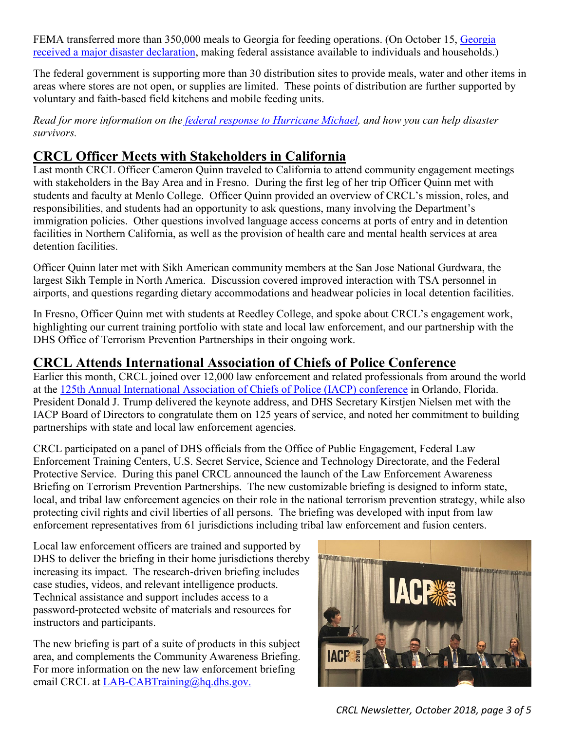FEMA transferred more than 350,000 meals to [Georgia](https://www.fema.gov/news-release/2018/10/15/president-donald-j-trump-approves-major-disaster-declaration-georgia) for feeding operations. (On October 15, Georgia [received a major disaster declaration,](https://www.fema.gov/news-release/2018/10/15/president-donald-j-trump-approves-major-disaster-declaration-georgia) making federal assistance available to individuals and households.)

The federal government is supporting more than 30 distribution sites to provide meals, water and other items in areas where stores are not open, or supplies are limited. These points of distribution are further supported by voluntary and faith-based field kitchens and mobile feeding units.

*Read for more information on the [federal response to Hurricane Michael,](https://www.dhs.gov/news/2018/10/15/fema-leads-massive-whole-community-response-effort-hurricane-michael-survivors) and how you can help disaster survivors.* 

# <span id="page-2-0"></span>**CRCL Officer Meets with Stakeholders in California**

Last month CRCL Officer Cameron Quinn traveled to California to attend community engagement meetings with stakeholders in the Bay Area and in Fresno. During the first leg of her trip Officer Quinn met with students and faculty at Menlo College. Officer Quinn provided an overview of CRCL's mission, roles, and responsibilities, and students had an opportunity to ask questions, many involving the Department's immigration policies. Other questions involved language access concerns at ports of entry and in detention facilities in Northern California, as well as the provision of health care and mental health services at area detention facilities.

Officer Quinn later met with Sikh American community members at the San Jose National Gurdwara, the largest Sikh Temple in North America. Discussion covered improved interaction with TSA personnel in airports, and questions regarding dietary accommodations and headwear policies in local detention facilities.

In Fresno, Officer Quinn met with students at Reedley College, and spoke about CRCL's engagement work, highlighting our current training portfolio with state and local law enforcement, and our partnership with the DHS Office of Terrorism Prevention Partnerships in their ongoing work.

### <span id="page-2-1"></span>**CRCL Attends International Association of Chiefs of Police Conference**

Earlier this month, CRCL joined over 12,000 law enforcement and related professionals from around the world at the [125th Annual International Association of Chiefs of Police \(IACP\) conference](https://www.theiacpconference.org/2018-wrap-up/#site-navigation) in Orlando, Florida. President Donald J. Trump delivered the keynote address, and DHS Secretary Kirstjen Nielsen met with the IACP Board of Directors to congratulate them on 125 years of service, and noted her commitment to building partnerships with state and local law enforcement agencies.

CRCL participated on a panel of DHS officials from the Office of Public Engagement, Federal Law Enforcement Training Centers, U.S. Secret Service, Science and Technology Directorate, and the Federal Protective Service. During this panel CRCL announced the launch of the Law Enforcement Awareness Briefing on Terrorism Prevention Partnerships. The new customizable briefing is designed to inform state, local, and tribal law enforcement agencies on their role in the national terrorism prevention strategy, while also protecting civil rights and civil liberties of all persons. The briefing was developed with input from law enforcement representatives from 61 jurisdictions including tribal law enforcement and fusion centers.

Local law enforcement officers are trained and supported by DHS to deliver the briefing in their home jurisdictions thereby increasing its impact. The research-driven briefing includes case studies, videos, and relevant intelligence products. Technical assistance and support includes access to a password-protected website of materials and resources for instructors and participants.

The new briefing is part of a suite of products in this subject area, and complements the Community Awareness Briefing. For more information on the new law enforcement briefing email CRCL at [LAB-CABTraining@hq.dhs.gov.](mailto:LAB-CABTraining@hq.dhs.gov)

<span id="page-2-2"></span>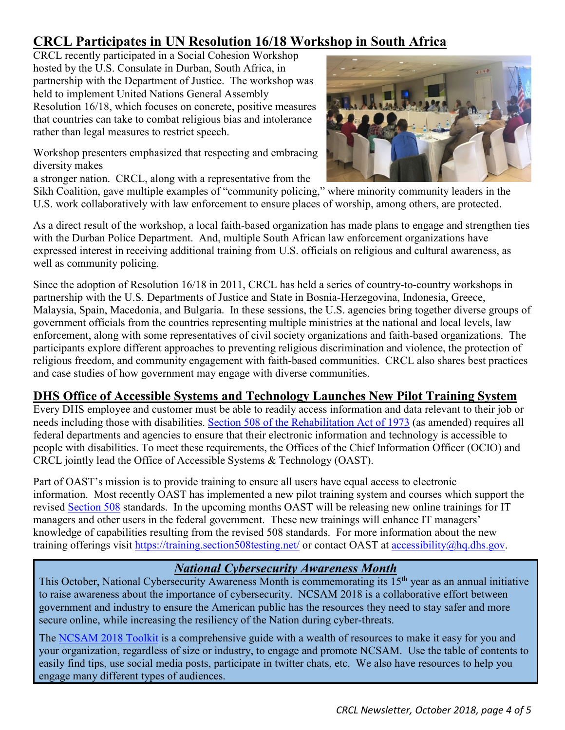# **CRCL Participates in UN Resolution 16/18 Workshop in South Africa**

CRCL recently participated in a Social Cohesion Workshop hosted by the U.S. Consulate in Durban, South Africa, in partnership with the Department of Justice. The workshop was held to implement United Nations General Assembly Resolution 16/18, which focuses on concrete, positive measures that countries can take to combat religious bias and intolerance rather than legal measures to restrict speech.

Workshop presenters emphasized that respecting and embracing diversity makes

a stronger nation. CRCL, along with a representative from the



Sikh Coalition, gave multiple examples of "community policing," where minority community leaders in the U.S. work collaboratively with law enforcement to ensure places of worship, among others, are protected.

As a direct result of the workshop, a local faith-based organization has made plans to engage and strengthen ties with the Durban Police Department. And, multiple South African law enforcement organizations have expressed interest in receiving additional training from U.S. officials on religious and cultural awareness, as well as community policing.

Since the adoption of Resolution 16/18 in 2011, CRCL has held a series of country-to-country workshops in partnership with the U.S. Departments of Justice and State in Bosnia-Herzegovina, Indonesia, Greece, Malaysia, Spain, Macedonia, and Bulgaria. In these sessions, the U.S. agencies bring together diverse groups of government officials from the countries representing multiple ministries at the national and local levels, law enforcement, along with some representatives of civil society organizations and faith-based organizations. The participants explore different approaches to preventing religious discrimination and violence, the protection of religious freedom, and community engagement with faith-based communities. CRCL also shares best practices and case studies of how government may engage with diverse communities.

### <span id="page-3-0"></span>**DHS Office of Accessible Systems and Technology Launches New Pilot Training System**

Every DHS employee and customer must be able to readily access information and data relevant to their job or needs including those with disabilities. [Section 508 of the Rehabilitation Act of 1973](http://www.access-board.gov/508.htm) (as amended) requires all federal departments and agencies to ensure that their electronic information and technology is accessible to people with disabilities. To meet these requirements, the Offices of the Chief Information Officer (OCIO) and CRCL jointly lead the Office of Accessible Systems & Technology (OAST).

Part of OAST's mission is to provide training to ensure all users have equal access to electronic information. Most recently OAST has implemented a new pilot training system and courses which support the revised [Section 508](https://www.section508.gov/) standards. In the upcoming months OAST will be releasing new online trainings for IT managers and other users in the federal government. These new trainings will enhance IT managers' knowledge of capabilities resulting from the revised 508 standards. For more information about the new training offerings visit<https://training.section508testing.net/> or contact OAST at [accessibility@hq.dhs.gov.](mailto:accessibility@hq.dhs.gov)

### *National Cybersecurity Awareness Month*

<span id="page-3-1"></span>This October, National Cybersecurity Awareness Month is commemorating its 15<sup>th</sup> year as an annual initiative to raise awareness about the importance of cybersecurity. NCSAM 2018 is a collaborative effort between government and industry to ensure the American public has the resources they need to stay safer and more secure online, while increasing the resiliency of the Nation during cyber-threats.

The [NCSAM 2018 Toolkit](https://www.dhs.gov/publication/ncsam-resources) is a comprehensive guide with a wealth of resources to make it easy for you and your organization, regardless of size or industry, to engage and promote NCSAM. Use the table of contents to easily find tips, use social media posts, participate in twitter chats, etc. We also have resources to help you engage many different types of audiences.